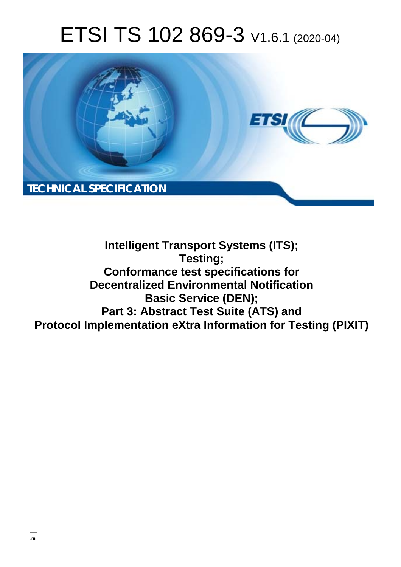# ETSI TS 102 869-3 V1.6.1 (2020-04)



**Intelligent Transport Systems (ITS); Testing; Conformance test specifications for Decentralized Environmental Notification Basic Service (DEN); Part 3: Abstract Test Suite (ATS) and Protocol Implementation eXtra Information for Testing (PIXIT)**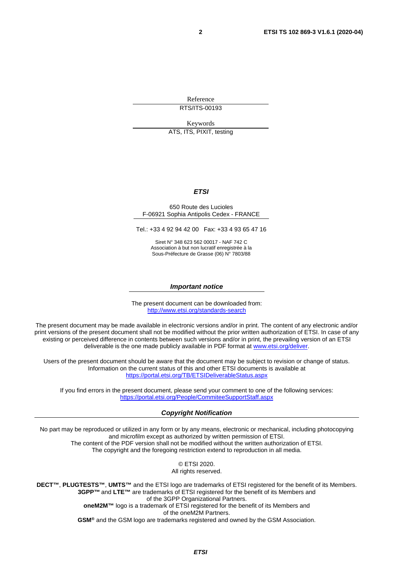Reference RTS/ITS-00193

Keywords ATS, ITS, PIXIT, testing

#### *ETSI*

#### 650 Route des Lucioles F-06921 Sophia Antipolis Cedex - FRANCE

Tel.: +33 4 92 94 42 00 Fax: +33 4 93 65 47 16

Siret N° 348 623 562 00017 - NAF 742 C Association à but non lucratif enregistrée à la Sous-Préfecture de Grasse (06) N° 7803/88

#### *Important notice*

The present document can be downloaded from: <http://www.etsi.org/standards-search>

The present document may be made available in electronic versions and/or in print. The content of any electronic and/or print versions of the present document shall not be modified without the prior written authorization of ETSI. In case of any existing or perceived difference in contents between such versions and/or in print, the prevailing version of an ETSI deliverable is the one made publicly available in PDF format at [www.etsi.org/deliver](http://www.etsi.org/deliver).

Users of the present document should be aware that the document may be subject to revision or change of status. Information on the current status of this and other ETSI documents is available at <https://portal.etsi.org/TB/ETSIDeliverableStatus.aspx>

If you find errors in the present document, please send your comment to one of the following services: <https://portal.etsi.org/People/CommiteeSupportStaff.aspx>

#### *Copyright Notification*

No part may be reproduced or utilized in any form or by any means, electronic or mechanical, including photocopying and microfilm except as authorized by written permission of ETSI. The content of the PDF version shall not be modified without the written authorization of ETSI. The copyright and the foregoing restriction extend to reproduction in all media.

> © ETSI 2020. All rights reserved.

**DECT™**, **PLUGTESTS™**, **UMTS™** and the ETSI logo are trademarks of ETSI registered for the benefit of its Members. **3GPP™** and **LTE™** are trademarks of ETSI registered for the benefit of its Members and of the 3GPP Organizational Partners. **oneM2M™** logo is a trademark of ETSI registered for the benefit of its Members and of the oneM2M Partners. **GSM®** and the GSM logo are trademarks registered and owned by the GSM Association.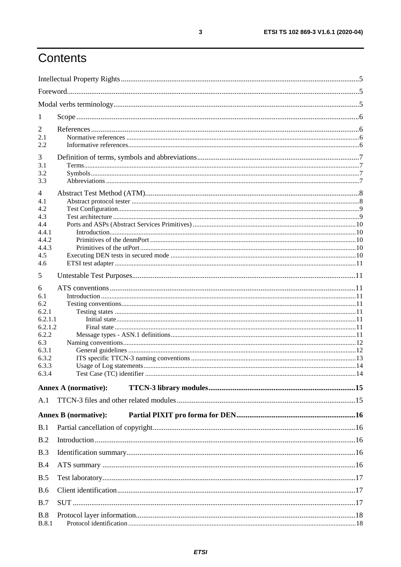## Contents

| 1                   |                             |  |
|---------------------|-----------------------------|--|
| $\overline{2}$      |                             |  |
| 2.1                 |                             |  |
| 2.2                 |                             |  |
| 3                   |                             |  |
| 3.1                 |                             |  |
| 3.2<br>3.3          |                             |  |
|                     |                             |  |
| 4                   |                             |  |
| 4.1<br>4.2          |                             |  |
| 4.3                 |                             |  |
| 4.4                 |                             |  |
| 4.4.1               |                             |  |
| 4.4.2               |                             |  |
| 4.4.3<br>4.5        |                             |  |
| 4.6                 |                             |  |
| 5                   |                             |  |
| 6                   |                             |  |
| 6.1                 |                             |  |
| 6.2                 |                             |  |
| 6.2.1               |                             |  |
| 6.2.1.1<br>6.2.1.2  |                             |  |
| 6.2.2               |                             |  |
| 6.3                 |                             |  |
| 6.3.1               |                             |  |
| 6.3.2               |                             |  |
| 6.3.3               |                             |  |
| 6.3.4               |                             |  |
|                     | <b>Annex A (normative):</b> |  |
| A.1                 |                             |  |
|                     | <b>Annex B</b> (normative): |  |
| B.1                 |                             |  |
| B.2                 |                             |  |
| B.3                 |                             |  |
| B.4                 |                             |  |
| B.5                 |                             |  |
| <b>B.6</b>          |                             |  |
| B.7                 |                             |  |
| B.8<br><b>B.8.1</b> |                             |  |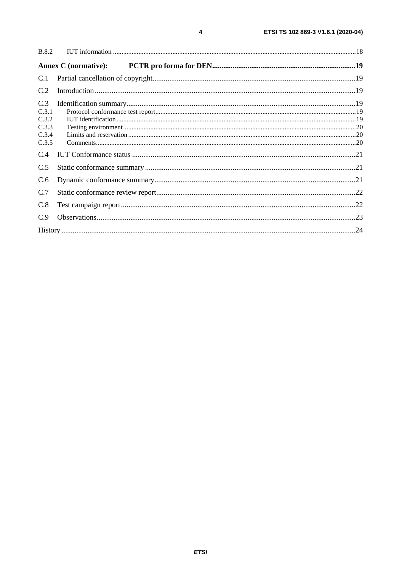| <b>B.8.2</b>                                     |                             |  |
|--------------------------------------------------|-----------------------------|--|
|                                                  | <b>Annex C</b> (normative): |  |
| C.1                                              |                             |  |
| C.2                                              |                             |  |
| C.3<br>C.3.1<br>C.3.2<br>C.3.3<br>C.3.4<br>C.3.5 |                             |  |
| C.4                                              |                             |  |
| C.5                                              |                             |  |
| C.6                                              |                             |  |
| C.7                                              |                             |  |
| C.8                                              |                             |  |
| C.9                                              |                             |  |
|                                                  |                             |  |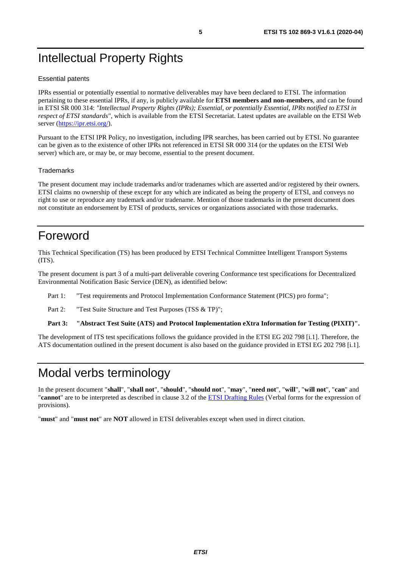## <span id="page-4-0"></span>Intellectual Property Rights

#### Essential patents

IPRs essential or potentially essential to normative deliverables may have been declared to ETSI. The information pertaining to these essential IPRs, if any, is publicly available for **ETSI members and non-members**, and can be found in ETSI SR 000 314: *"Intellectual Property Rights (IPRs); Essential, or potentially Essential, IPRs notified to ETSI in respect of ETSI standards"*, which is available from the ETSI Secretariat. Latest updates are available on the ETSI Web server ([https://ipr.etsi.org/\)](https://ipr.etsi.org/).

Pursuant to the ETSI IPR Policy, no investigation, including IPR searches, has been carried out by ETSI. No guarantee can be given as to the existence of other IPRs not referenced in ETSI SR 000 314 (or the updates on the ETSI Web server) which are, or may be, or may become, essential to the present document.

#### **Trademarks**

The present document may include trademarks and/or tradenames which are asserted and/or registered by their owners. ETSI claims no ownership of these except for any which are indicated as being the property of ETSI, and conveys no right to use or reproduce any trademark and/or tradename. Mention of those trademarks in the present document does not constitute an endorsement by ETSI of products, services or organizations associated with those trademarks.

## Foreword

This Technical Specification (TS) has been produced by ETSI Technical Committee Intelligent Transport Systems (ITS).

The present document is part 3 of a multi-part deliverable covering Conformance test specifications for Decentralized Environmental Notification Basic Service (DEN), as identified below:

Part 1: "Test requirements and Protocol Implementation Conformance Statement (PICS) pro forma";

Part 2: "Test Suite Structure and Test Purposes (TSS & TP)";

**Part 3: "Abstract Test Suite (ATS) and Protocol Implementation eXtra Information for Testing (PIXIT)".** 

The development of ITS test specifications follows the guidance provided in the ETSI EG 202 798 [[i.1\]](#page-5-0). Therefore, the ATS documentation outlined in the present document is also based on the guidance provided in ETSI EG 202 798 [[i.1\]](#page-5-0).

### Modal verbs terminology

In the present document "**shall**", "**shall not**", "**should**", "**should not**", "**may**", "**need not**", "**will**", "**will not**", "**can**" and "**cannot**" are to be interpreted as described in clause 3.2 of the [ETSI Drafting Rules](https://portal.etsi.org/Services/editHelp!/Howtostart/ETSIDraftingRules.aspx) (Verbal forms for the expression of provisions).

"**must**" and "**must not**" are **NOT** allowed in ETSI deliverables except when used in direct citation.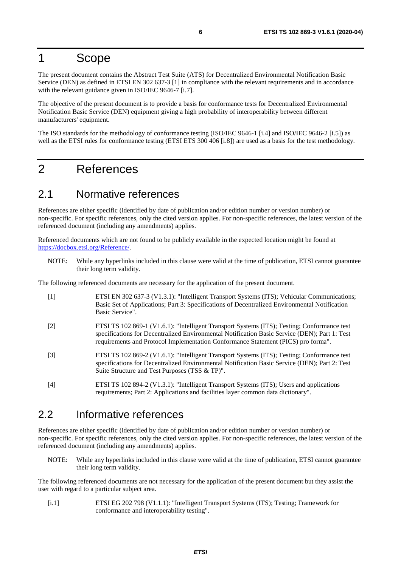### <span id="page-5-0"></span>1 Scope

The present document contains the Abstract Test Suite (ATS) for Decentralized Environmental Notification Basic Service (DEN) as defined in ETSI EN 302 637-3 [1] in compliance with the relevant requirements and in accordance with the relevant guidance given in ISO/IEC 9646-7 [[i.7\]](#page-6-0).

The objective of the present document is to provide a basis for conformance tests for Decentralized Environmental Notification Basic Service (DEN) equipment giving a high probability of interoperability between different manufacturers' equipment.

The ISO standards for the methodology of conformance testing (ISO/IEC 9646-1 [\[i.4\]](#page-6-0) and ISO/IEC 9646-2 [\[i.5](#page-6-0)]) as well as the ETSI rules for conformance testing (ETSI ETS 300 406 [\[i.8\]](#page-6-0)) are used as a basis for the test methodology.

### 2 References

#### 2.1 Normative references

References are either specific (identified by date of publication and/or edition number or version number) or non-specific. For specific references, only the cited version applies. For non-specific references, the latest version of the referenced document (including any amendments) applies.

Referenced documents which are not found to be publicly available in the expected location might be found at <https://docbox.etsi.org/Reference/>.

NOTE: While any hyperlinks included in this clause were valid at the time of publication, ETSI cannot guarantee their long term validity.

The following referenced documents are necessary for the application of the present document.

- [1] ETSI EN 302 637-3 (V1.3.1): "Intelligent Transport Systems (ITS); Vehicular Communications; Basic Set of Applications; Part 3: Specifications of Decentralized Environmental Notification Basic Service".
- [2] ETSI TS 102 869-1 (V1.6.1): "Intelligent Transport Systems (ITS); Testing; Conformance test specifications for Decentralized Environmental Notification Basic Service (DEN); Part 1: Test requirements and Protocol Implementation Conformance Statement (PICS) pro forma".
- [3] ETSI TS 102 869-2 (V1.6.1): "Intelligent Transport Systems (ITS); Testing; Conformance test specifications for Decentralized Environmental Notification Basic Service (DEN); Part 2: Test Suite Structure and Test Purposes (TSS & TP)".
- [4] ETSI TS 102 894-2 (V1.3.1): "Intelligent Transport Systems (ITS); Users and applications requirements; Part 2: Applications and facilities layer common data dictionary".

### 2.2 Informative references

References are either specific (identified by date of publication and/or edition number or version number) or non-specific. For specific references, only the cited version applies. For non-specific references, the latest version of the referenced document (including any amendments) applies.

NOTE: While any hyperlinks included in this clause were valid at the time of publication, ETSI cannot guarantee their long term validity.

The following referenced documents are not necessary for the application of the present document but they assist the user with regard to a particular subject area.

[i.1] ETSI EG 202 798 (V1.1.1): "Intelligent Transport Systems (ITS); Testing; Framework for conformance and interoperability testing".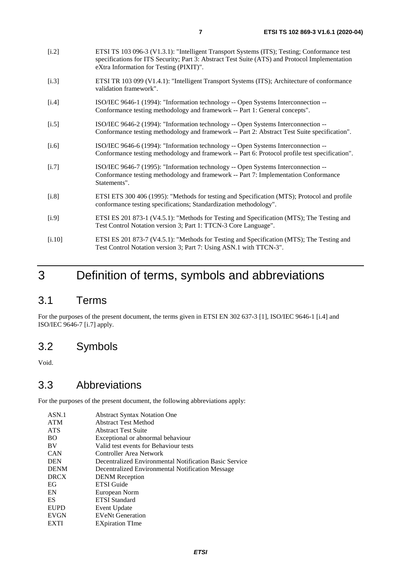- <span id="page-6-0"></span>[i.2] ETSI TS 103 096-3 (V1.3.1): "Intelligent Transport Systems (ITS); Testing; Conformance test specifications for ITS Security; Part 3: Abstract Test Suite (ATS) and Protocol Implementation eXtra Information for Testing (PIXIT)".
- [i.3] ETSI TR 103 099 (V1.4.1): "Intelligent Transport Systems (ITS); Architecture of conformance validation framework".
- [i.4] ISO/IEC 9646-1 (1994): "Information technology -- Open Systems Interconnection -- Conformance testing methodology and framework -- Part 1: General concepts".
- [i.5] ISO/IEC 9646-2 (1994): "Information technology -- Open Systems Interconnection -- Conformance testing methodology and framework -- Part 2: Abstract Test Suite specification".
- [i.6] ISO/IEC 9646-6 (1994): "Information technology -- Open Systems Interconnection -- Conformance testing methodology and framework -- Part 6: Protocol profile test specification".
- [i.7] ISO/IEC 9646-7 (1995): "Information technology -- Open Systems Interconnection -- Conformance testing methodology and framework -- Part 7: Implementation Conformance Statements".
- [i.8] ETSI ETS 300 406 (1995): "Methods for testing and Specification (MTS); Protocol and profile conformance testing specifications; Standardization methodology".
- [i.9] ETSI ES 201 873-1 (V4.5.1): "Methods for Testing and Specification (MTS); The Testing and Test Control Notation version 3; Part 1: TTCN-3 Core Language".
- [i.10] ETSI ES 201 873-7 (V4.5.1): "Methods for Testing and Specification (MTS); The Testing and Test Control Notation version 3; Part 7: Using ASN.1 with TTCN-3".

## 3 Definition of terms, symbols and abbreviations

#### 3.1 Terms

For the purposes of the present document, the terms given in ETSI EN 302 637-3 [\[1\]](#page-5-0), ISO/IEC 9646-1 [i.4] and ISO/IEC 9646-7 [i.7] apply.

### 3.2 Symbols

Void.

#### 3.3 Abbreviations

For the purposes of the present document, the following abbreviations apply:

| ASN.1       | <b>Abstract Syntax Notation One</b>                    |
|-------------|--------------------------------------------------------|
| <b>ATM</b>  | <b>Abstract Test Method</b>                            |
| <b>ATS</b>  | <b>Abstract Test Suite</b>                             |
| <b>BO</b>   | Exceptional or abnormal behaviour                      |
| BV          | Valid test events for Behaviour tests                  |
| <b>CAN</b>  | Controller Area Network                                |
| <b>DEN</b>  | Decentralized Environmental Notification Basic Service |
| <b>DENM</b> | Decentralized Environmental Notification Message       |
| <b>DRCX</b> | <b>DENM</b> Reception                                  |
| EG          | <b>ETSI</b> Guide                                      |
| EN          | European Norm                                          |
| ES          | <b>ETSI</b> Standard                                   |
| <b>EUPD</b> | Event Update                                           |
| <b>EVGN</b> | <b>EVeNt Generation</b>                                |
| EXTI        | <b>EXpiration TIme</b>                                 |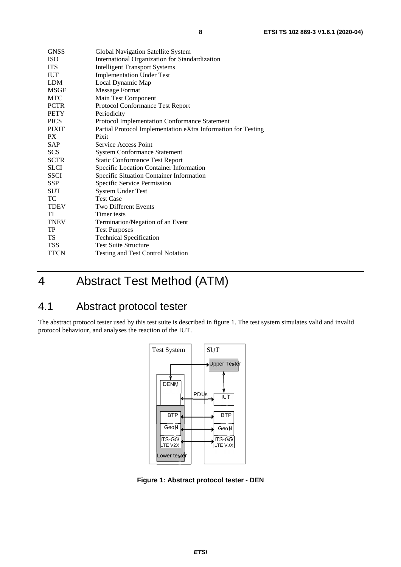<span id="page-7-0"></span>

| <b>GNSS</b>  | Global Navigation Satellite System                            |
|--------------|---------------------------------------------------------------|
| <b>ISO</b>   | International Organization for Standardization                |
| <b>ITS</b>   | <b>Intelligent Transport Systems</b>                          |
| <b>IUT</b>   | <b>Implementation Under Test</b>                              |
| LDM          | Local Dynamic Map                                             |
| MSGF         | <b>Message Format</b>                                         |
| MTC          | Main Test Component                                           |
| <b>PCTR</b>  | Protocol Conformance Test Report                              |
| <b>PETY</b>  | Periodicity                                                   |
| <b>PICS</b>  | Protocol Implementation Conformance Statement                 |
| <b>PIXIT</b> | Partial Protocol Implementation eXtra Information for Testing |
| PX           | Pixit                                                         |
| <b>SAP</b>   | Service Access Point                                          |
| <b>SCS</b>   | <b>System Conformance Statement</b>                           |
| <b>SCTR</b>  | <b>Static Conformance Test Report</b>                         |
| <b>SLCI</b>  | Specific Location Container Information                       |
| <b>SSCI</b>  | Specific Situation Container Information                      |
| <b>SSP</b>   | Specific Service Permission                                   |
| <b>SUT</b>   | <b>System Under Test</b>                                      |
| TC           | <b>Test Case</b>                                              |
| <b>TDEV</b>  | <b>Two Different Events</b>                                   |
| TI           | Timer tests                                                   |
| <b>TNEV</b>  | Termination/Negation of an Event                              |
| TP           | <b>Test Purposes</b>                                          |
| TS           | <b>Technical Specification</b>                                |
| <b>TSS</b>   | <b>Test Suite Structure</b>                                   |
| <b>TTCN</b>  | <b>Testing and Test Control Notation</b>                      |

## 4 Abstract Test Method (ATM)

### 4.1 Abstract protocol tester

The abstract protocol tester used by this test suite is described in figure 1. The test system simulates valid and invalid protocol behaviour, and analyses the reaction of the IUT.



**Figure 1: Abstract protocol tester - DEN**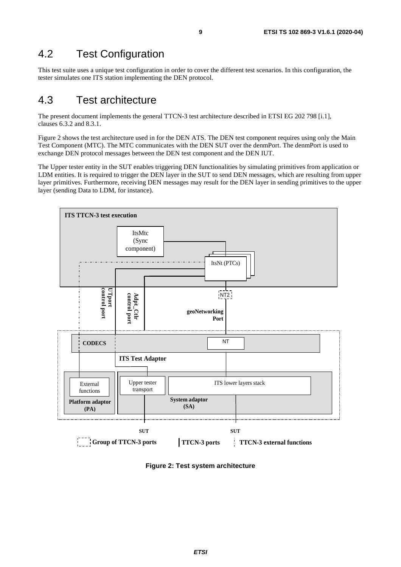### <span id="page-8-0"></span>4.2 Test Configuration

This test suite uses a unique test configuration in order to cover the different test scenarios. In this configuration, the tester simulates one ITS station implementing the DEN protocol.

### 4.3 Test architecture

The present document implements the general TTCN-3 test architecture described in ETSI EG 202 798 [[i.1](#page-5-0)], clauses 6.3.2 and 8.3.1.

Figure 2 shows the test architecture used in for the DEN ATS. The DEN test component requires using only the Main Test Component (MTC). The MTC communicates with the DEN SUT over the denmPort. The denmPort is used to exchange DEN protocol messages between the DEN test component and the DEN IUT.

The Upper tester entity in the SUT enables triggering DEN functionalities by simulating primitives from application or LDM entities. It is required to trigger the DEN layer in the SUT to send DEN messages, which are resulting from upper layer primitives. Furthermore, receiving DEN messages may result for the DEN layer in sending primitives to the upper layer (sending Data to LDM, for instance).



**Figure 2: Test system architecture**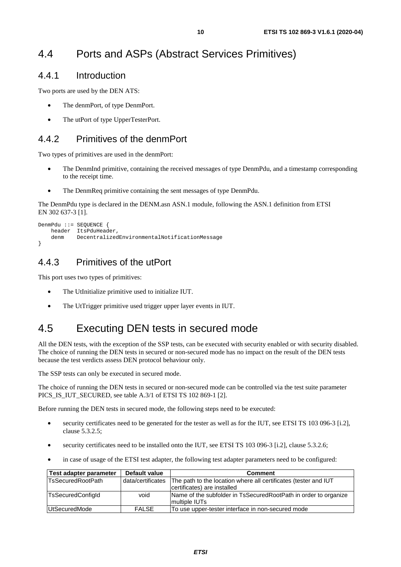### <span id="page-9-0"></span>4.4 Ports and ASPs (Abstract Services Primitives)

#### 4.4.1 Introduction

Two ports are used by the DEN ATS:

- The denmPort, of type DenmPort.
- The utPort of type UpperTesterPort.

#### 4.4.2 Primitives of the denmPort

Two types of primitives are used in the denmPort:

- The DenmInd primitive, containing the received messages of type DenmPdu, and a timestamp corresponding to the receipt time.
- The DenmReq primitive containing the sent messages of type DenmPdu.

The DenmPdu type is declared in the DENM.asn ASN.1 module, following the ASN.1 definition from ETSI EN 302 637-3 [\[1](#page-5-0)].

```
DenmPdu ::= SEQUENCE { 
     header ItsPduHeader, 
     denm DecentralizedEnvironmentalNotificationMessage 
}
```
#### 4.4.3 Primitives of the utPort

This port uses two types of primitives:

- The UtInitialize primitive used to initialize IUT.
- The UtTrigger primitive used trigger upper layer events in IUT.

### 4.5 Executing DEN tests in secured mode

All the DEN tests, with the exception of the SSP tests, can be executed with security enabled or with security disabled. The choice of running the DEN tests in secured or non-secured mode has no impact on the result of the DEN tests because the test verdicts assess DEN protocol behaviour only.

The SSP tests can only be executed in secured mode.

The choice of running the DEN tests in secured or non-secured mode can be controlled via the test suite parameter PICS IS IUT SECURED, see table A.3/1 of ETSI TS 10[2](#page-5-0) 869-1 [2].

Before running the DEN tests in secured mode, the following steps need to be executed:

- security certificates need to be generated for the tester as well as for the IUT, see ETSI TS 103 096-3 [[i.2\]](#page-6-0), clause 5.3.2.5;
- security certificates need to be installed onto the IUT, see ETSI TS 103 096-3 [[i.2](#page-6-0)], clause 5.3.2.6;
- in case of usage of the ETSI test adapter, the following test adapter parameters need to be configured:

| Test adapter parameter   | Default value     | <b>Comment</b>                                                  |
|--------------------------|-------------------|-----------------------------------------------------------------|
| <b>TsSecuredRootPath</b> | data/certificates | The path to the location where all certificates (tester and IUT |
|                          |                   | certificates) are installed                                     |
| <b>TsSecuredConfigld</b> | void              | Name of the subfolder in TsSecuredRootPath in order to organize |
|                          |                   | Imultiple IUTs                                                  |
| UtSecuredMode            | <b>FALSE</b>      | To use upper-tester interface in non-secured mode               |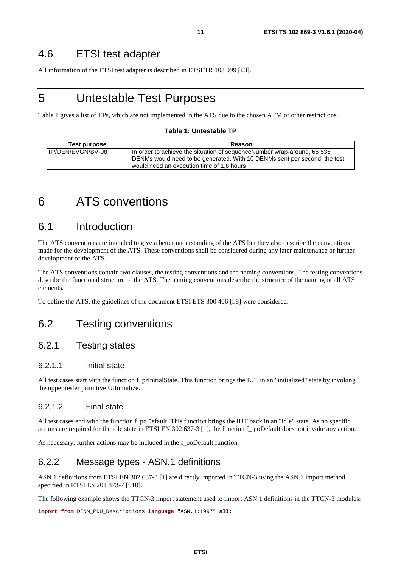### <span id="page-10-0"></span>4.6 ETSI test adapter

All information of the ETSI test adapter is described in ETSI TR 103 099 [[i.3\]](#page-6-0).

### 5 Untestable Test Purposes

Table 1 gives a list of TPs, which are not implemented in the ATS due to the chosen ATM or other restrictions.

#### **Table 1: Untestable TP**

| Test purpose       | Reason                                                                                                                                                                                             |
|--------------------|----------------------------------------------------------------------------------------------------------------------------------------------------------------------------------------------------|
| ITP/DEN/EVGN/BV-08 | In order to achieve the situation of sequence Number wrap-around, 65 535<br>DENMs would need to be generated. With 10 DENMs sent per second, the test<br>would need an execution time of 1,8 hours |

### 6 ATS conventions

#### 6.1 Introduction

The ATS conventions are intended to give a better understanding of the ATS but they also describe the conventions made for the development of the ATS. These conventions shall be considered during any later maintenance or further development of the ATS.

The ATS conventions contain two clauses, the testing conventions and the naming conventions. The testing conventions describe the functional structure of the ATS. The naming conventions describe the structure of the naming of all ATS elements.

To define the ATS, the guidelines of the document ETSI ETS 300 406 [[i.8](#page-6-0)] were considered.

### 6.2 Testing conventions

#### 6.2.1 Testing states

#### 6.2.1.1 Initial state

All test cases start with the function f\_prInitialState. This function brings the IUT in an "initialized" state by invoking the upper tester primitive UtInitialize.

#### 6.2.1.2 Final state

All test cases end with the function f poDefault. This function brings the IUT back in an "idle" state. As no specific actions are required for the idle state in ETSI EN 302 637-3 [[1](#page-5-0)], the function f\_ poDefault does not invoke any action.

As necessary, further actions may be included in the f\_poDefault function*.*

#### 6.2.2 Message types - ASN.1 definitions

ASN.1 definitions from ETSI EN 302 637-3 [[1\]](#page-5-0) are directly imported in TTCN-3 using the ASN.1 import method specified in ETSI ES 201 873-7 [[i.10](#page-6-0)].

The following example shows the TTCN-3 import statement used to import ASN.1 definitions in the TTCN-3 modules:

**import from** DENM\_PDU\_Descriptions **language** "ASN.1:1997" **all**;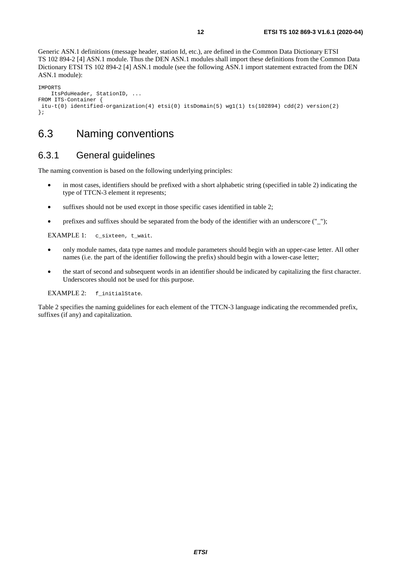<span id="page-11-0"></span>Generic ASN.1 definitions (message header, station Id, etc.), are defined in the Common Data Dictionary ETSI TS 102 894-2 [\[4\]](#page-5-0) ASN.1 module. Thus the DEN ASN.1 modules shall import these definitions from the Common Data Dictionary ETSI TS 102 894-2 [\[4\]](#page-5-0) ASN.1 module (see the following ASN.1 import statement extracted from the DEN ASN.1 module):

```
IMPORTS 
     ItsPduHeader, StationID, ... 
FROM ITS-Container { 
 itu-t(0) identified-organization(4) etsi(0) itsDomain(5) wg1(1) ts(102894) cdd(2) version(2) 
};
```
### 6.3 Naming conventions

#### 6.3.1 General guidelines

The naming convention is based on the following underlying principles:

- in most cases, identifiers should be prefixed with a short alphabetic string (specified in table [2](#page-12-0)) indicating the type of TTCN-3 element it represents;
- suffixes should not be used except in those specific cases identified in table 2;
- prefixes and suffixes should be separated from the body of the identifier with an underscore  $($ " $)$ ");

EXAMPLE 1: c\_sixteen, t\_wait.

- only module names, data type names and module parameters should begin with an upper-case letter. All other names (i.e. the part of the identifier following the prefix) should begin with a lower-case letter;
- the start of second and subsequent words in an identifier should be indicated by capitalizing the first character. Underscores should not be used for this purpose.

EXAMPLE 2: f\_initialState.

Table [2](#page-12-0) specifies the naming guidelines for each element of the TTCN-3 language indicating the recommended prefix, suffixes (if any) and capitalization.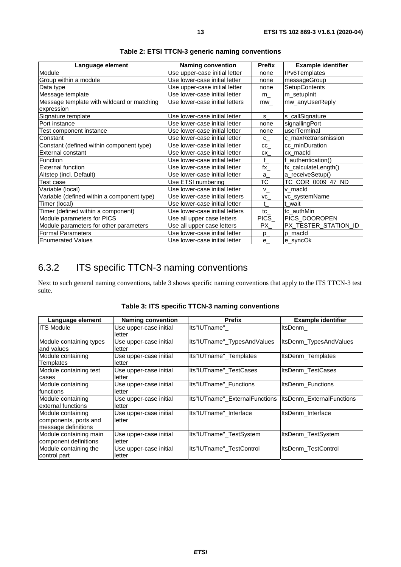<span id="page-12-0"></span>

| Language element                                         | <b>Naming convention</b>       | <b>Prefix</b> | <b>Example identifier</b> |
|----------------------------------------------------------|--------------------------------|---------------|---------------------------|
| Module                                                   | Use upper-case initial letter  | none          | IPv6Templates             |
| Group within a module                                    | Use lower-case initial letter  | none          | messageGroup              |
| Data type                                                | Use upper-case initial letter  | none          | SetupContents             |
| Message template                                         | Use lower-case initial letter  | m             | m_setupInit               |
| Message template with wildcard or matching<br>expression | Use lower-case initial letters | mw            | mw_anyUserReply           |
| Signature template                                       | Use lower-case initial letter  | s             | s_callSignature           |
| Port instance                                            | Use lower-case initial letter  | none          | signallingPort            |
| Test component instance                                  | Use lower-case initial letter  | none          | userTerminal              |
| Constant                                                 | Use lower-case initial letter  | $C_{-}$       | c_maxRetransmission       |
| Constant (defined within component type)                 | Use lower-case initial letter  | <b>CC</b>     | cc_minDuration            |
| External constant                                        | Use lower-case initial letter  | CX            | cx_macId                  |
| Function                                                 | Use lower-case initial letter  | f             | f authentication()        |
| <b>External function</b>                                 | Use lower-case initial letter  | fx_           | fx_calculateLength()      |
| Altstep (incl. Default)                                  | Use lower-case initial letter  | a             | a_receiveSetup()          |
| Test case                                                | Use ETSI numbering             | TC            | TC_COR_0009_47_ND         |
| Variable (local)                                         | Use lower-case initial letter  | V             | v macld                   |
| Variable (defined within a component type)               | Use lower-case initial letters | VC            | vc_systemName             |
| Timer (local)                                            | Use lower-case initial letter  | $\mathbf{t}$  | t_wait                    |
| Timer (defined within a component)                       | Use lower-case initial letters | tc            | tc authMin                |
| Module parameters for PICS                               | Use all upper case letters     | PICS_         | PICS_DOOROPEN             |
| Module parameters for other parameters                   | Use all upper case letters     | PX.           | PX_TESTER_STATION_ID      |
| <b>Formal Parameters</b>                                 | Use lower-case initial letter  | $p_{-}$       | p macld                   |
| <b>Enumerated Values</b>                                 | Use lower-case initial letter  | e             | e_syncOk                  |

**Table 2: ETSI TTCN-3 generic naming conventions** 

#### 6.3.2 ITS specific TTCN-3 naming conventions

Next to such general naming conventions, table 3 shows specific naming conventions that apply to the ITS TTCN-3 test suite.

| Language element                                                  | <b>Naming convention</b>         | <b>Prefix</b>                  | <b>Example identifier</b> |
|-------------------------------------------------------------------|----------------------------------|--------------------------------|---------------------------|
| <b>ITS Module</b>                                                 | Use upper-case initial<br>letter | lts"IUTname"                   | ItsDenm                   |
| Module containing types<br>and values                             | Use upper-case initial<br>letter | Its"IUTname"_TypesAndValues    | ItsDenm_TypesAndValues    |
| Module containing<br>Templates                                    | Use upper-case initial<br>letter | Its"IUTname" Templates         | ItsDenm Templates         |
| Module containing test<br>cases                                   | Use upper-case initial<br>letter | Its"IUTname" TestCases         | ItsDenm TestCases         |
| Module containing<br>functions                                    | Use upper-case initial<br>letter | Its"IUTname" Functions         | ItsDenm_Functions         |
| Module containing<br>external functions                           | Use upper-case initial<br>letter | Its"IUTname"_ExternalFunctions | ItsDenm_ExternalFunctions |
| Module containing<br>components, ports and<br>message definitions | Use upper-case initial<br>letter | Its"IUTname"_Interface         | ItsDenm Interface         |
| Module containing main<br>component definitions                   | Use upper-case initial<br>letter | Its"IUTname"_TestSystem        | ItsDenm_TestSystem        |
| Module containing the<br>control part                             | Use upper-case initial<br>letter | Its"IUTname" TestControl       | ItsDenm TestControl       |

|  |  | Table 3: ITS specific TTCN-3 naming conventions |  |
|--|--|-------------------------------------------------|--|
|--|--|-------------------------------------------------|--|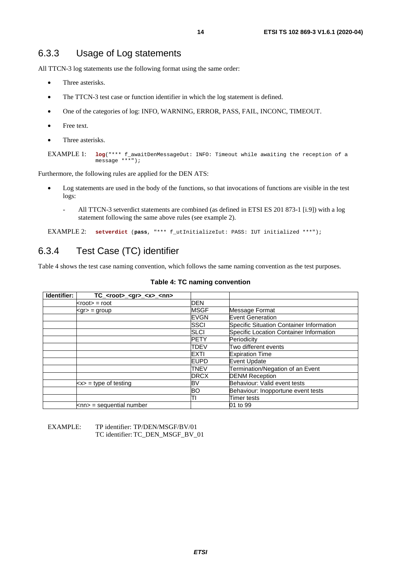#### <span id="page-13-0"></span>6.3.3 Usage of Log statements

All TTCN-3 log statements use the following format using the same order:

- Three asterisks.
- The TTCN-3 test case or function identifier in which the log statement is defined.
- One of the categories of log: INFO, WARNING, ERROR, PASS, FAIL, INCONC, TIMEOUT.
- Free text.
- Three asterisks.

```
EXAMPLE 1: log("*** f_awaitDenMessageOut: INFO: Timeout while awaiting the reception of a 
              message ***");
```
Furthermore, the following rules are applied for the DEN ATS:

- Log statements are used in the body of the functions, so that invocations of functions are visible in the test logs:
	- All TTCN-3 setverdict statements are combined (as defined in ETSI ES 201 873-1 [[i.9\]](#page-6-0)) with a log statement following the same above rules (see example 2).

EXAMPLE 2: **setverdict** (**pass**, "\*\*\* f\_utInitializeIut: PASS: IUT initialized \*\*\*");

#### 6.3.4 Test Case (TC) identifier

Table 4 shows the test case naming convention, which follows the same naming convention as the test purposes.

| Identifier: | $TC$ <root> <gr> <x> <nn></nn></x></gr></root> |             |                                                 |
|-------------|------------------------------------------------|-------------|-------------------------------------------------|
|             | $<$ root $>$ = root                            | <b>DEN</b>  |                                                 |
|             | $<$ gr $>$ = group                             | <b>MSGF</b> | Message Format                                  |
|             |                                                | <b>EVGN</b> | <b>Event Generation</b>                         |
|             |                                                | SSCI        | <b>Specific Situation Container Information</b> |
|             |                                                | <b>SLCI</b> | Specific Location Container Information         |
|             |                                                | <b>PETY</b> | Periodicity                                     |
|             |                                                | <b>TDEV</b> | Two different events                            |
|             |                                                | EXTI        | <b>Expiration Time</b>                          |
|             |                                                | <b>EUPD</b> | Event Update                                    |
|             |                                                | TNEV        | Termination/Negation of an Event                |
|             |                                                | <b>DRCX</b> | <b>DENM Reception</b>                           |
|             | $\langle x \rangle$ = type of testing          | BV          | Behaviour: Valid event tests                    |
|             |                                                | BO          | Behaviour: Inopportune event tests              |
|             |                                                | πı          | <b>Timer tests</b>                              |
|             | <nn> = sequential number</nn>                  |             | 01 to 99                                        |

#### **Table 4: TC naming convention**

EXAMPLE: TP identifier: TP/DEN/MSGF/BV/01 TC identifier: TC\_DEN\_MSGF\_BV\_01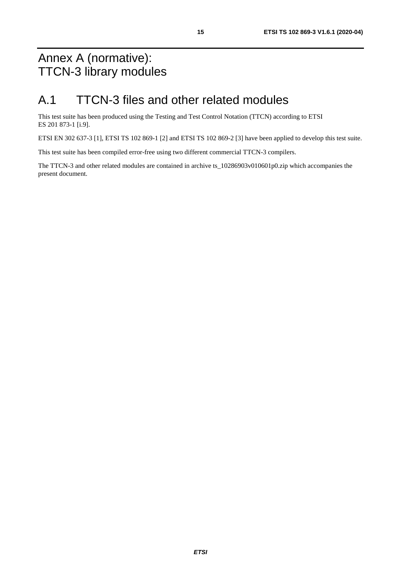## <span id="page-14-0"></span>Annex A (normative): TTCN-3 library modules

## A.1 TTCN-3 files and other related modules

This test suite has been produced using the Testing and Test Control Notation (TTCN) according to ETSI ES 201 873-1 [\[i.9\]](#page-6-0).

ETSI EN 302 637-3 [[1](#page-5-0)], ETSI TS 102 869-1 [\[2\]](#page-5-0) and ETSI TS 102 869-2 [[3](#page-5-0)] have been applied to develop this test suite.

This test suite has been compiled error-free using two different commercial TTCN-3 compilers.

The TTCN-3 and other related modules are contained in archive ts\_10286903v010601p0.zip which accompanies the present document.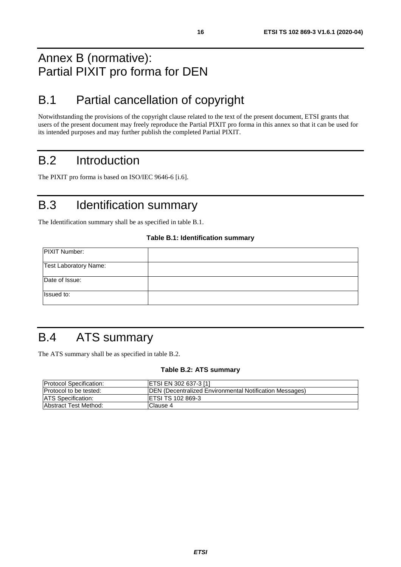## <span id="page-15-0"></span>Annex B (normative): Partial PIXIT pro forma for DEN

## B.1 Partial cancellation of copyright

Notwithstanding the provisions of the copyright clause related to the text of the present document, ETSI grants that users of the present document may freely reproduce the Partial PIXIT pro forma in this annex so that it can be used for its intended purposes and may further publish the completed Partial PIXIT.

## B.2 Introduction

The PIXIT pro forma is based on ISO/IEC 9646-6 [[i.6\]](#page-6-0).

## B.3 Identification summary

The Identification summary shall be as specified in table B.1.

#### **Table B.1: Identification summary**

| <b>PIXIT Number:</b>  |  |
|-----------------------|--|
| Test Laboratory Name: |  |
| Date of Issue:        |  |
| Issued to:            |  |

## B.4 ATS summary

The ATS summary shall be as specified in table B.2.

#### **Table B.2: ATS summary**

| <b>IProtocol Specification:</b> | <b>ETSI EN 302 637-3 [1]</b>                                    |
|---------------------------------|-----------------------------------------------------------------|
| <b>Protocol to be tested:</b>   | <b>IDEN</b> (Decentralized Environmental Notification Messages) |
| <b>ATS</b> Specification:       | <b>IETSI TS 102 869-3</b>                                       |
| <b>Abstract Test Method:</b>    | IClause 4                                                       |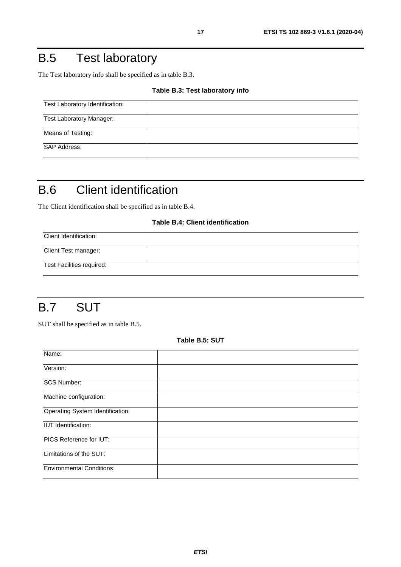## <span id="page-16-0"></span>B.5 Test laboratory

The Test laboratory info shall be specified as in table B.3.

#### **Table B.3: Test laboratory info**

| Test Laboratory Identification: |  |
|---------------------------------|--|
| <b>Test Laboratory Manager:</b> |  |
| Means of Testing:               |  |
| <b>SAP Address:</b>             |  |

## B.6 Client identification

The Client identification shall be specified as in table B.4.

#### **Table B.4: Client identification**

| Client Identification:    |  |
|---------------------------|--|
| Client Test manager:      |  |
| Test Facilities required: |  |

### B.7 SUT

SUT shall be specified as in table B.5.

**Table B.5: SUT** 

| Name:                            |  |
|----------------------------------|--|
| Version:                         |  |
| <b>SCS Number:</b>               |  |
| Machine configuration:           |  |
| Operating System Identification: |  |
| <b>IUT</b> Identification:       |  |
| PICS Reference for IUT:          |  |
| Limitations of the SUT:          |  |
| <b>Environmental Conditions:</b> |  |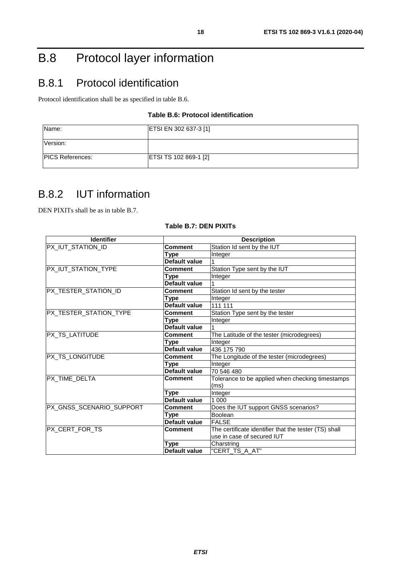## <span id="page-17-0"></span>B.8 Protocol layer information

### B.8.1 Protocol identification

Protocol identification shall be as specified in table B.6.

#### **Table B.6: Protocol identification**

| Name:                   | <b>ETSI EN 302 637-3 [1]</b> |
|-------------------------|------------------------------|
| Version:                |                              |
| <b>PICS References:</b> | <b>ETSI TS 102 869-1 [2]</b> |

### B.8.2 IUT information

DEN PIXITs shall be as in table B.7.

#### **Table B.7: DEN PIXITs**

| <b>Identifier</b>        | <b>Description</b>   |                                                       |  |
|--------------------------|----------------------|-------------------------------------------------------|--|
| PX_IUT_STATION_ID        | <b>Comment</b>       | Station Id sent by the IUT                            |  |
|                          | Type                 | Integer                                               |  |
|                          | Default value        |                                                       |  |
| PX_IUT_STATION_TYPE      | <b>Comment</b>       | Station Type sent by the IUT                          |  |
|                          | Type                 | Integer                                               |  |
|                          | Default value        |                                                       |  |
| PX_TESTER_STATION_ID     | <b>Comment</b>       | Station Id sent by the tester                         |  |
|                          | Type                 | Integer                                               |  |
|                          | Default value        | 111 111                                               |  |
| PX_TESTER_STATION_TYPE   | <b>Comment</b>       | Station Type sent by the tester                       |  |
|                          | Type                 | Integer                                               |  |
|                          | <b>Default value</b> |                                                       |  |
| PX_TS_LATITUDE           | <b>Comment</b>       | The Latitude of the tester (microdegrees)             |  |
|                          | Type                 | Integer                                               |  |
|                          | Default value        | 436 175 790                                           |  |
| PX_TS_LONGITUDE          | <b>Comment</b>       | The Longitude of the tester (microdegrees)            |  |
|                          | Type                 | Integer                                               |  |
|                          | Default value        | 70 546 480                                            |  |
| <b>PX TIME DELTA</b>     | Comment              | Tolerance to be applied when checking timestamps      |  |
|                          |                      | (ms)                                                  |  |
|                          | Type                 | Integer                                               |  |
|                          | Default value        | 1 000                                                 |  |
| PX_GNSS_SCENARIO_SUPPORT | <b>Comment</b>       | Does the IUT support GNSS scenarios?                  |  |
|                          | Type                 | Boolean                                               |  |
|                          | <b>Default value</b> | <b>FALSE</b>                                          |  |
| <b>PX CERT FOR TS</b>    | <b>Comment</b>       | The certificate identifier that the tester (TS) shall |  |
|                          |                      | use in case of secured IUT                            |  |
|                          | <b>Type</b>          | Charstring                                            |  |
|                          | Default value        | "CERT_TS_A_AT"                                        |  |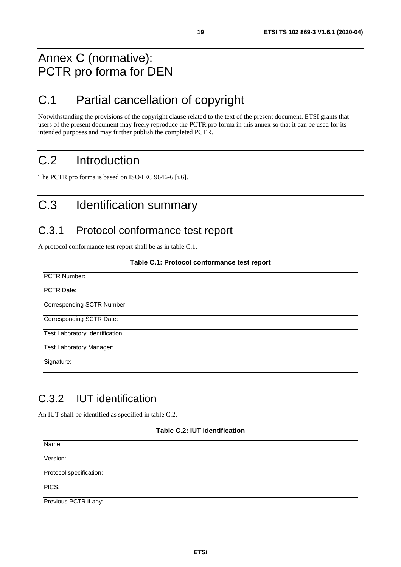## <span id="page-18-0"></span>Annex C (normative): PCTR pro forma for DEN

## C.1 Partial cancellation of copyright

Notwithstanding the provisions of the copyright clause related to the text of the present document, ETSI grants that users of the present document may freely reproduce the PCTR pro forma in this annex so that it can be used for its intended purposes and may further publish the completed PCTR.

## C.2 Introduction

The PCTR pro forma is based on ISO/IEC 9646-6 [[i.6](#page-6-0)].

## C.3 Identification summary

### C.3.1 Protocol conformance test report

A protocol conformance test report shall be as in table C.1.

#### **Table C.1: Protocol conformance test report**

| PCTR Number:                    |  |
|---------------------------------|--|
| PCTR Date:                      |  |
| Corresponding SCTR Number:      |  |
| Corresponding SCTR Date:        |  |
| Test Laboratory Identification: |  |
| <b>Test Laboratory Manager:</b> |  |
| Signature:                      |  |

### C.3.2 IUT identification

An IUT shall be identified as specified in table C.2.

#### **Table C.2: IUT identification**

| Name:                   |  |
|-------------------------|--|
| Version:                |  |
| Protocol specification: |  |
| PICS:                   |  |
| Previous PCTR if any:   |  |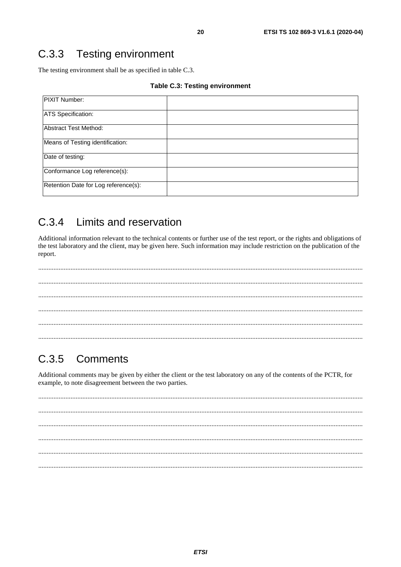#### <span id="page-19-0"></span>**Testing environment**  $C.3.3$

The testing environment shall be as specified in table C.3.

#### **Table C.3: Testing environment**

| PIXIT Number:                        |  |
|--------------------------------------|--|
| <b>ATS Specification:</b>            |  |
| Abstract Test Method:                |  |
| Means of Testing identification:     |  |
| Date of testing:                     |  |
| Conformance Log reference(s):        |  |
| Retention Date for Log reference(s): |  |

#### Limits and reservation  $C.3.4$

Additional information relevant to the technical contents or further use of the test report, or the rights and obligations of the test laboratory and the client, may be given here. Such information may include restriction on the publication of the report.

. . . . . . . .

#### $C.3.5$ Comments

Additional comments may be given by either the client or the test laboratory on any of the contents of the PCTR, for example, to note disagreement between the two parties.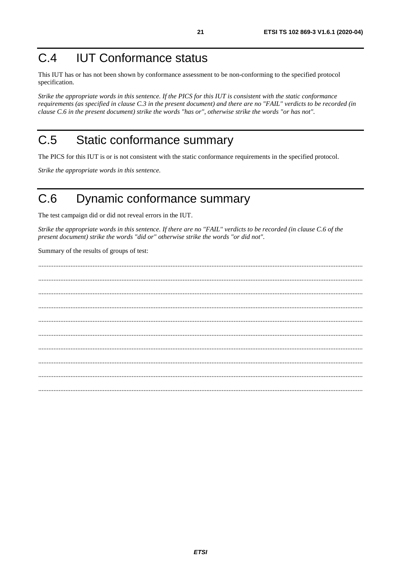## <span id="page-20-0"></span>C.4 IUT Conformance status

This IUT has or has not been shown by conformance assessment to be non-conforming to the specified protocol specification.

*Strike the appropriate words in this sentence. If the PICS for this IUT is consistent with the static conformance requirements (as specified in clause C.3 in the present document) and there are no "FAIL" verdicts to be recorded (in clause C.6 in the present document) strike the words "has or", otherwise strike the words "or has not".* 

## C.5 Static conformance summary

The PICS for this IUT is or is not consistent with the static conformance requirements in the specified protocol.

*Strike the appropriate words in this sentence.* 

### C.6 Dynamic conformance summary

The test campaign did or did not reveal errors in the IUT.

*Strike the appropriate words in this sentence. If there are no "FAIL" verdicts to be recorded (in clause C.6 of the present document) strike the words "did or" otherwise strike the words "or did not".* 

Summary of the results of groups of test:

 ............................................................................................................................................................................................... ............................................................................................................................................................................................... ............................................................................................................................................................................................... ............................................................................................................................................................................................... ............................................................................................................................................................................................... ............................................................................................................................................................................................... ............................................................................................................................................................................................... ............................................................................................................................................................................................... ...............................................................................................................................................................................................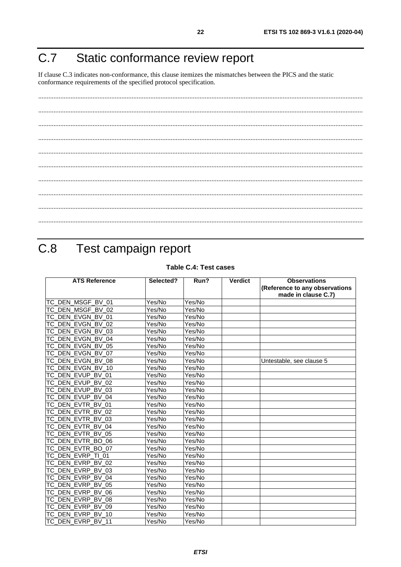## <span id="page-21-0"></span>C.7 Static conformance review report

If clause C.3 indicates non-conformance, this clause itemizes the mismatches between the PICS and the static conformance requirements of the specified protocol specification.

## C.8 Test campaign report

#### **Table C.4: Test cases**

| <b>ATS Reference</b>        | Selected?           | Run?   | <b>Verdict</b> | <b>Observations</b>            |
|-----------------------------|---------------------|--------|----------------|--------------------------------|
|                             |                     |        |                | (Reference to any observations |
|                             |                     |        |                | made in clause C.7)            |
| TC_DEN_MSGF_BV_01           | Yes/No              | Yes/No |                |                                |
| TC_DEN_MSGF_BV_02           | Yes/No              | Yes/No |                |                                |
| TC DEN EVGN BV 01           | Yes/No              | Yes/No |                |                                |
| TC_DEN_EVGN_BV_02           | Yes/No              | Yes/No |                |                                |
| TC_DEN_EVGN_BV_03           | Yes/No              | Yes/No |                |                                |
| TC_DEN_EVGN_BV_04           | Yes/No              | Yes/No |                |                                |
| TC DEN EVGN BV 05           | $\overline{Yes}/No$ | Yes/No |                |                                |
| TC DEN EVGN BV 07           | Yes/No              | Yes/No |                |                                |
| TC_DEN_EVGN_BV_08           | Yes/No              | Yes/No |                | Untestable, see clause 5       |
| TC_DEN_EVGN_BV_10           | Yes/No              | Yes/No |                |                                |
| TC DEN EVUP BV 01           | Yes/No              | Yes/No |                |                                |
| TC_DEN_EVUP_BV_02           | Yes/No              | Yes/No |                |                                |
| TC DEN EVUP BV 03           | Yes/No              | Yes/No |                |                                |
| TC DEN EVUP BV 04           | Yes/No              | Yes/No |                |                                |
| TC_DEN_EVTR_BV_01           | Yes/No              | Yes/No |                |                                |
| TC_DEN_EVTR_BV_02           | Yes/No              | Yes/No |                |                                |
| TC DEN EVTR BV 03           | Yes/No              | Yes/No |                |                                |
| TC DEN EVTR BV 04           | Yes/No              | Yes/No |                |                                |
| TC_DEN_EVTR_BV_05           | Yes/No              | Yes/No |                |                                |
| TC_DEN_EVTR_BO_06           | Yes/No              | Yes/No |                |                                |
| TC_DEN_EVTR_BO_07           | Yes/No              | Yes/No |                |                                |
| TC DEN EVRP TI 01           | Yes/No              | Yes/No |                |                                |
| TC DEN EVRP BV 02           | Yes/No              | Yes/No |                |                                |
| TC DEN EVRP BV 03           | Yes/No              | Yes/No |                |                                |
| TC_DEN_EVRP_BV_04           | Yes/No              | Yes/No |                |                                |
| TC DEN EVRP BV 05           | Yes/No              | Yes/No |                |                                |
| DEN EVRP BV 06<br>ТC        | Yes/No              | Yes/No |                |                                |
| TC DEN EVRP<br><b>BV 08</b> | Yes/No              | Yes/No |                |                                |
| TC DEN EVRP BV 09           | Yes/No              | Yes/No |                |                                |
| TC_DEN_EVRP_BV_10           | Yes/No              | Yes/No |                |                                |
| TC DEN EVRP BV 11           | Yes/No              | Yes/No |                |                                |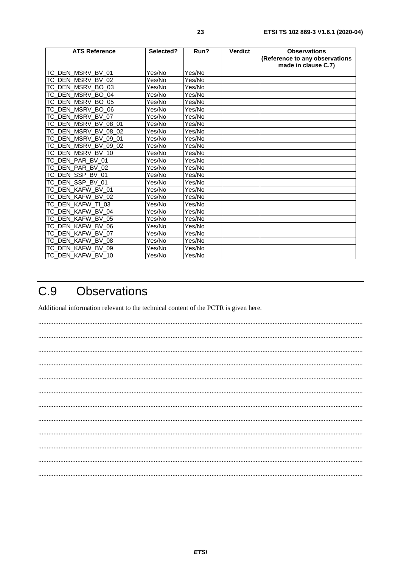<span id="page-22-0"></span>

| <b>ATS Reference</b> | Selected? | Run?   | <b>Verdict</b> | <b>Observations</b><br>(Reference to any observations<br>made in clause C.7) |
|----------------------|-----------|--------|----------------|------------------------------------------------------------------------------|
| TC_DEN_MSRV_BV_01    | Yes/No    | Yes/No |                |                                                                              |
| TC_DEN_MSRV_BV_02    | Yes/No    | Yes/No |                |                                                                              |
| TC_DEN_MSRV_BO_03    | Yes/No    | Yes/No |                |                                                                              |
| TC DEN MSRV BO 04    | Yes/No    | Yes/No |                |                                                                              |
| TC DEN MSRV BO 05    | Yes/No    | Yes/No |                |                                                                              |
| TC_DEN_MSRV_BO_06    | Yes/No    | Yes/No |                |                                                                              |
| TC_DEN_MSRV_BV_07    | Yes/No    | Yes/No |                |                                                                              |
| TC_DEN_MSRV_BV_08_01 | Yes/No    | Yes/No |                |                                                                              |
| TC_DEN_MSRV_BV_08_02 | Yes/No    | Yes/No |                |                                                                              |
| TC DEN MSRV BV 09 01 | Yes/No    | Yes/No |                |                                                                              |
| TC DEN MSRV BV 09 02 | Yes/No    | Yes/No |                |                                                                              |
| TC_DEN_MSRV_BV_10    | Yes/No    | Yes/No |                |                                                                              |
| TC DEN PAR BV 01     | Yes/No    | Yes/No |                |                                                                              |
| TC_DEN_PAR_BV_02     | Yes/No    | Yes/No |                |                                                                              |
| TC_DEN_SSP_BV_01     | Yes/No    | Yes/No |                |                                                                              |
| TC_DEN_SSP_BV_01     | Yes/No    | Yes/No |                |                                                                              |
| TC_DEN_KAFW_BV_01    | Yes/No    | Yes/No |                |                                                                              |
| TC DEN KAFW BV 02    | Yes/No    | Yes/No |                |                                                                              |
| TC_DEN_KAFW_TI_03    | Yes/No    | Yes/No |                |                                                                              |
| TC_DEN_KAFW_BV_04    | Yes/No    | Yes/No |                |                                                                              |
| TC DEN KAFW BV 05    | Yes/No    | Yes/No |                |                                                                              |
| TC DEN KAFW BV 06    | Yes/No    | Yes/No |                |                                                                              |
| TC_DEN_KAFW_BV_07    | Yes/No    | Yes/No |                |                                                                              |
| TC_DEN_KAFW_BV_08    | Yes/No    | Yes/No |                |                                                                              |
| TC DEN KAFW BV 09    | Yes/No    | Yes/No |                |                                                                              |
| TC DEN KAFW BV 10    | Yes/No    | Yes/No |                |                                                                              |

#### $C.9$ **Observations**

Additional information relevant to the technical content of the PCTR is given here.